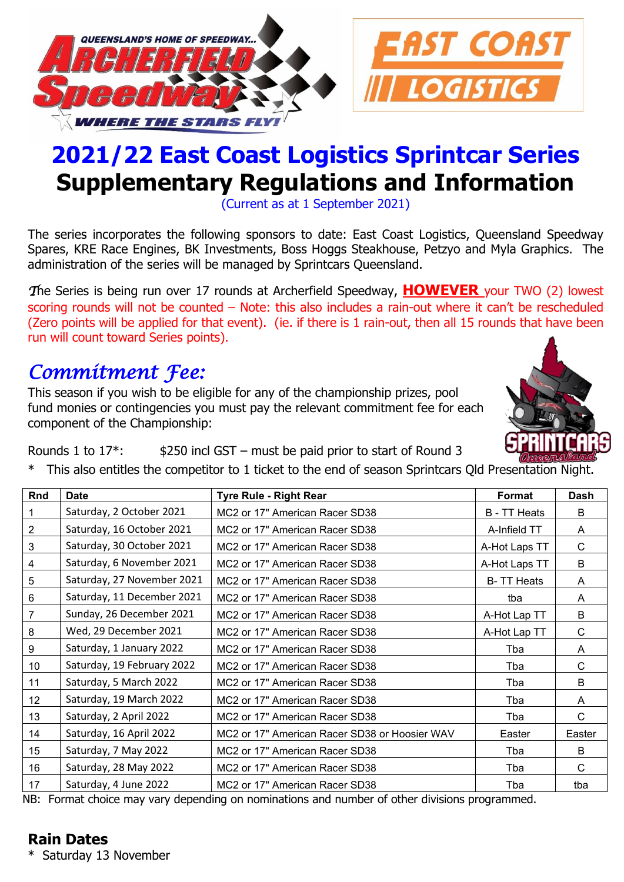

# **2021/22 East Coast Logistics Sprintcar Series Supplementary Regulations and Information**

(Current as at 1 September 2021)

The series incorporates the following sponsors to date: East Coast Logistics, Queensland Speedway Spares, KRE Race Engines, BK Investments, Boss Hoggs Steakhouse, Petzyo and Myla Graphics. The administration of the series will be managed by Sprintcars Queensland.

*T*he Series is being run over 17 rounds at Archerfield Speedway, **HOWEVER** your TWO (2) lowest scoring rounds will not be counted – Note: this also includes a rain-out where it can't be rescheduled (Zero points will be applied for that event). (ie. if there is 1 rain-out, then all 15 rounds that have been run will count toward Series points).

# *Commitment Fee:*

This season if you wish to be eligible for any of the championship prizes, pool fund monies or contingencies you must pay the relevant commitment fee for each component of the Championship:



## Rounds 1 to  $17^*$ :  $$250$  incl GST – must be paid prior to start of Round 3

This also entitles the competitor to 1 ticket to the end of season Sprintcars Qld Presentation Night.

| Rnd        | <b>Date</b>                | <b>Tyre Rule - Right Rear</b>                 | Format              | Dash         |
|------------|----------------------------|-----------------------------------------------|---------------------|--------------|
| 1          | Saturday, 2 October 2021   | MC2 or 17" American Racer SD38                | <b>B</b> - TT Heats | B            |
| $\sqrt{2}$ | Saturday, 16 October 2021  | MC2 or 17" American Racer SD38                | A-Infield TT        | A            |
| $\sqrt{3}$ | Saturday, 30 October 2021  | MC2 or 17" American Racer SD38                | A-Hot Laps TT       | C            |
| 4          | Saturday, 6 November 2021  | MC2 or 17" American Racer SD38                | A-Hot Laps TT       | B            |
| 5          | Saturday, 27 November 2021 | MC2 or 17" American Racer SD38                | <b>B-TT Heats</b>   | A            |
| 6          | Saturday, 11 December 2021 | MC2 or 17" American Racer SD38                | tba                 | A            |
| 7          | Sunday, 26 December 2021   | MC2 or 17" American Racer SD38                | A-Hot Lap TT        | B            |
| 8          | Wed, 29 December 2021      | MC2 or 17" American Racer SD38                | A-Hot Lap TT        | C            |
| 9          | Saturday, 1 January 2022   | MC2 or 17" American Racer SD38                | Tba                 | A            |
| 10         | Saturday, 19 February 2022 | MC2 or 17" American Racer SD38                | Tba                 | $\mathsf{C}$ |
| 11         | Saturday, 5 March 2022     | MC2 or 17" American Racer SD38                | Tba                 | B            |
| 12         | Saturday, 19 March 2022    | MC2 or 17" American Racer SD38                | Tba                 | A            |
| 13         | Saturday, 2 April 2022     | MC2 or 17" American Racer SD38                | Tba                 | C            |
| 14         | Saturday, 16 April 2022    | MC2 or 17" American Racer SD38 or Hoosier WAV | Easter              | Easter       |
| 15         | Saturday, 7 May 2022       | MC2 or 17" American Racer SD38                | Tba                 | B            |
| 16         | Saturday, 28 May 2022      | MC2 or 17" American Racer SD38                | Tba                 | C            |
| 17         | Saturday, 4 June 2022      | MC2 or 17" American Racer SD38                | Tba                 | tba          |

NB: Format choice may vary depending on nominations and number of other divisions programmed.

## **Rain Dates**

\* Saturday 13 November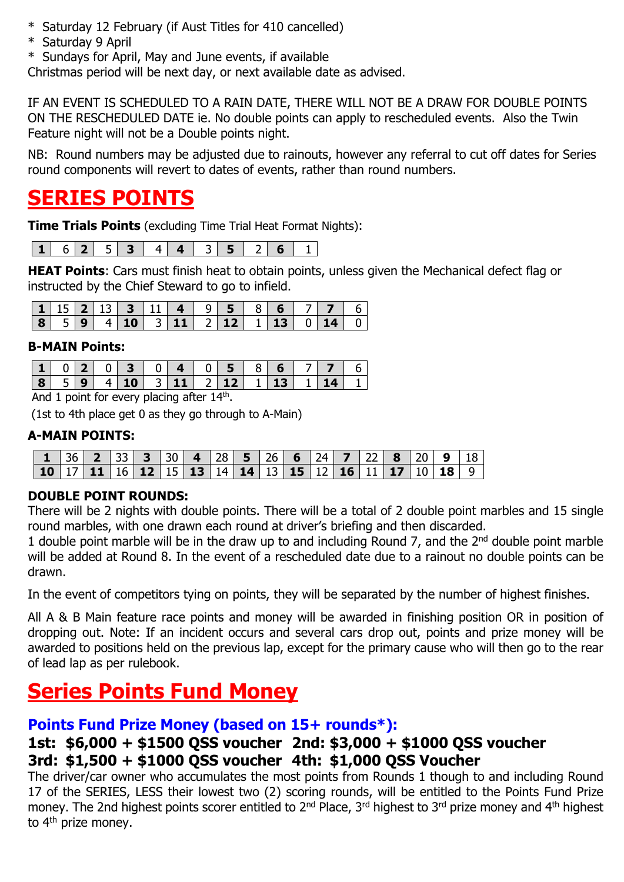- \* Saturday 12 February (if Aust Titles for 410 cancelled)
- \* Saturday 9 April
- \* Sundays for April, May and June events, if available

Christmas period will be next day, or next available date as advised.

IF AN EVENT IS SCHEDULED TO A RAIN DATE, THERE WILL NOT BE A DRAW FOR DOUBLE POINTS ON THE RESCHEDULED DATE ie. No double points can apply to rescheduled events. Also the Twin Feature night will not be a Double points night.

NB: Round numbers may be adjusted due to rainouts, however any referral to cut off dates for Series round components will revert to dates of events, rather than round numbers.

## **SERIES POINTS**

**Time Trials Points** (excluding Time Trial Heat Format Nights):

|  | - |  |  |  |  |  |  |  |  |  |  |
|--|---|--|--|--|--|--|--|--|--|--|--|
|--|---|--|--|--|--|--|--|--|--|--|--|

**HEAT Points**: Cars must finish heat to obtain points, unless given the Mechanical defect flag or instructed by the Chief Steward to go to infield.

|  |  |  | $1 \mid 15 \mid 2 \mid 13 \mid 3 \mid 11 \mid 4 \mid 9 \mid 5 \mid 8 \mid 6 \mid 7 \mid 7 \mid 6$ |  |  |  |  |
|--|--|--|---------------------------------------------------------------------------------------------------|--|--|--|--|
|  |  |  |                                                                                                   |  |  |  |  |

#### **B-MAIN Points:**

|  |  |  | 10203040405867776 |  |  |  |  |
|--|--|--|-------------------|--|--|--|--|
|  |  |  |                   |  |  |  |  |

And 1 point for every placing after  $14<sup>th</sup>$ .

(1st to 4th place get 0 as they go through to A-Main)

#### **A-MAIN POINTS:**

|  |  |  |  |  |  |  |  | $1 \ 36 \ 2 \ 33 \ 3 \ 30 \ 4 \ 28 \ 5 \ 26 \ 6 \ 24 \ 7 \ 22 \ 8 \ 20 \ 9 \ 18$       |  |
|--|--|--|--|--|--|--|--|----------------------------------------------------------------------------------------|--|
|  |  |  |  |  |  |  |  | 10   17   11   16   12   15   13   14   14   13   15   12   16   11   17   10   18   9 |  |

#### **DOUBLE POINT ROUNDS:**

There will be 2 nights with double points. There will be a total of 2 double point marbles and 15 single round marbles, with one drawn each round at driver's briefing and then discarded.

1 double point marble will be in the draw up to and including Round 7, and the  $2^{nd}$  double point marble will be added at Round 8. In the event of a rescheduled date due to a rainout no double points can be drawn.

In the event of competitors tying on points, they will be separated by the number of highest finishes.

All A & B Main feature race points and money will be awarded in finishing position OR in position of dropping out. Note: If an incident occurs and several cars drop out, points and prize money will be awarded to positions held on the previous lap, except for the primary cause who will then go to the rear of lead lap as per rulebook.

# **Series Points Fund Money**

## **Points Fund Prize Money (based on 15+ rounds\*):**

### **1st: \$6,000 + \$1500 QSS voucher 2nd: \$3,000 + \$1000 QSS voucher 3rd: \$1,500 + \$1000 QSS voucher 4th: \$1,000 QSS Voucher**

The driver/car owner who accumulates the most points from Rounds 1 though to and including Round 17 of the SERIES, LESS their lowest two (2) scoring rounds, will be entitled to the Points Fund Prize money. The 2nd highest points scorer entitled to 2<sup>nd</sup> Place, 3<sup>rd</sup> highest to 3<sup>rd</sup> prize money and 4<sup>th</sup> highest to 4<sup>th</sup> prize money.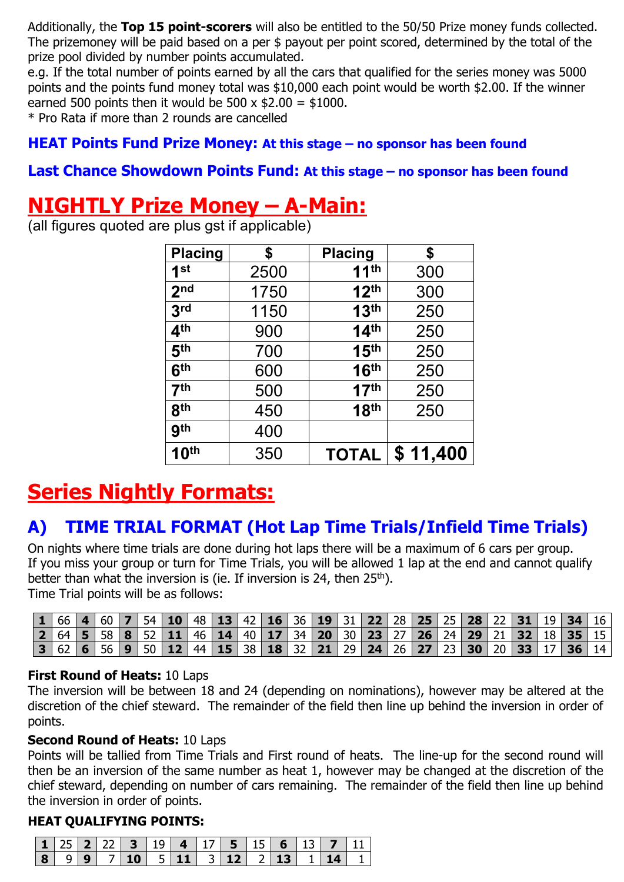Additionally, the **Top 15 point-scorers** will also be entitled to the 50/50 Prize money funds collected. The prizemoney will be paid based on a per \$ payout per point scored, determined by the total of the prize pool divided by number points accumulated.

e.g. If the total number of points earned by all the cars that qualified for the series money was 5000 points and the points fund money total was \$10,000 each point would be worth \$2.00. If the winner earned 500 points then it would be 500  $\times$  \$2.00 = \$1000.

\* Pro Rata if more than 2 rounds are cancelled

#### **HEAT Points Fund Prize Money: At this stage – no sponsor has been found**

#### **Last Chance Showdown Points Fund: At this stage – no sponsor has been found**

# **NIGHTLY Prize Money – A-Main:**

(all figures quoted are plus gst if applicable)

| <b>Placing</b>   | \$   | <b>Placing</b>   | \$       |
|------------------|------|------------------|----------|
| $1$ st           | 2500 | 11 <sup>th</sup> | 300      |
| 2 <sub>nd</sub>  | 1750 | 12 <sup>th</sup> | 300      |
| 3 <sub>rd</sub>  | 1150 | 13 <sup>th</sup> | 250      |
| 4 <sup>th</sup>  | 900  | 14 <sup>th</sup> | 250      |
| 5 <sup>th</sup>  | 700  | 15 <sup>th</sup> | 250      |
| 6 <sup>th</sup>  | 600  | 16 <sup>th</sup> | 250      |
| 7 <sup>th</sup>  | 500  | 17 <sup>th</sup> | 250      |
| 8 <sup>th</sup>  | 450  | 18 <sup>th</sup> | 250      |
| gth              | 400  |                  |          |
| 10 <sup>th</sup> | 350  | <b>TOTAL</b>     | \$11,400 |

# **Series Nightly Formats:**

## **A) TIME TRIAL FORMAT (Hot Lap Time Trials/Infield Time Trials)**

On nights where time trials are done during hot laps there will be a maximum of 6 cars per group. If you miss your group or turn for Time Trials, you will be allowed 1 lap at the end and cannot qualify better than what the inversion is (ie. If inversion is 24, then 25<sup>th</sup>).

Time Trial points will be as follows:

|  |  |  |  |  |  |  | $1166$   4   60   7   54   10   48   13   42   16   36   19   31   22   28   25   25   28   22   31   19   34   16                                                                                                                           |  |  |  |  |  |
|--|--|--|--|--|--|--|----------------------------------------------------------------------------------------------------------------------------------------------------------------------------------------------------------------------------------------------|--|--|--|--|--|
|  |  |  |  |  |  |  | $\mid$ 2 $\mid$ 64 $\mid$ 5 $\mid$ 58 $\mid$ 8 $\mid$ 52 $\mid$ 11 $\mid$ 46 $\mid$ 14 $\mid$ 40 $\mid$ 17 $\mid$ 34 $\mid$ 20 $\mid$ 30 $\mid$ 23 $\mid$ 27 $\mid$ 26 $\mid$ 24 $\mid$ 29 $\mid$ 21 $\mid$ 32 $\mid$ 18 $\mid$ 35 $\mid$ 15 |  |  |  |  |  |
|  |  |  |  |  |  |  | 3   62   6   56   9   50   12   44   15   38   18   32   21   29   24   26   27   23   30   20   33   17   36   14                                                                                                                           |  |  |  |  |  |

#### **First Round of Heats:** 10 Laps

The inversion will be between 18 and 24 (depending on nominations), however may be altered at the discretion of the chief steward. The remainder of the field then line up behind the inversion in order of points.

#### **Second Round of Heats:** 10 Laps

Points will be tallied from Time Trials and First round of heats. The line-up for the second round will then be an inversion of the same number as heat 1, however may be changed at the discretion of the chief steward, depending on number of cars remaining. The remainder of the field then line up behind the inversion in order of points.

#### **HEAT QUALIFYING POINTS:**

|  |  |  |  |  |  | $\vert$ 1   25   2   22   3   19   4   17   5   15   6   13   7   11 |  |
|--|--|--|--|--|--|----------------------------------------------------------------------|--|
|  |  |  |  |  |  | 8 9 9 7 10 5 11 3 12 2 13 1 14                                       |  |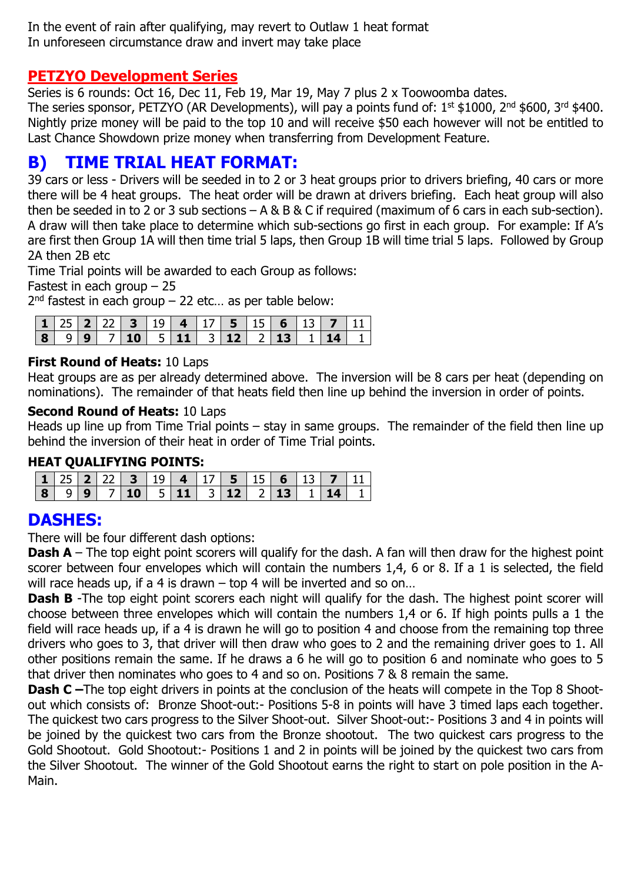In the event of rain after qualifying, may revert to Outlaw 1 heat format In unforeseen circumstance draw and invert may take place

#### **PETZYO Development Series**

Series is 6 rounds: Oct 16, Dec 11, Feb 19, Mar 19, May 7 plus 2 x Toowoomba dates. The series sponsor, PETZYO (AR Developments), will pay a points fund of: 1<sup>st</sup> \$1000, 2<sup>nd</sup> \$600, 3<sup>rd</sup> \$400. Nightly prize money will be paid to the top 10 and will receive \$50 each however will not be entitled to Last Chance Showdown prize money when transferring from Development Feature.

## **B) TIME TRIAL HEAT FORMAT:**

39 cars or less - Drivers will be seeded in to 2 or 3 heat groups prior to drivers briefing, 40 cars or more there will be 4 heat groups. The heat order will be drawn at drivers briefing. Each heat group will also then be seeded in to 2 or 3 sub sections – A & B & C if required (maximum of 6 cars in each sub-section). A draw will then take place to determine which sub-sections go first in each group. For example: If A's are first then Group 1A will then time trial 5 laps, then Group 1B will time trial 5 laps. Followed by Group 2A then 2B etc

Time Trial points will be awarded to each Group as follows:

Fastest in each group – 25

 $2<sup>nd</sup>$  fastest in each group – 22 etc... as per table below:

|  |  |  |  | $1 \ 25 \ 2 \ 22 \ 3 \ 19 \ 4 \ 17 \ 5 \ 15 \ 6 \ 13 \ 7 \ 11$ |  |  |  |
|--|--|--|--|----------------------------------------------------------------|--|--|--|
|  |  |  |  | 8 9 9 7 10 5 11 3 12 2 13 1 14 1                               |  |  |  |

#### **First Round of Heats:** 10 Laps

Heat groups are as per already determined above. The inversion will be 8 cars per heat (depending on nominations). The remainder of that heats field then line up behind the inversion in order of points.

#### **Second Round of Heats:** 10 Laps

Heads up line up from Time Trial points – stay in same groups. The remainder of the field then line up behind the inversion of their heat in order of Time Trial points.

#### **HEAT QUALIFYING POINTS:**

|  |  |  | $1 \ 25 \ 2 \ 22 \ 3 \ 19 \ 4 \ 17 \ 5 \ 15 \ 6 \ 13 \ 7 \ 11$ |  |  |  |  |
|--|--|--|----------------------------------------------------------------|--|--|--|--|
|  |  |  |                                                                |  |  |  |  |

## **DASHES:**

There will be four different dash options:

**Dash A** – The top eight point scorers will qualify for the dash. A fan will then draw for the highest point scorer between four envelopes which will contain the numbers 1,4, 6 or 8. If a 1 is selected, the field will race heads up, if a 4 is drawn – top 4 will be inverted and so on...

**Dash B** -The top eight point scorers each night will qualify for the dash. The highest point scorer will choose between three envelopes which will contain the numbers 1,4 or 6. If high points pulls a 1 the field will race heads up, if a 4 is drawn he will go to position 4 and choose from the remaining top three drivers who goes to 3, that driver will then draw who goes to 2 and the remaining driver goes to 1. All other positions remain the same. If he draws a 6 he will go to position 6 and nominate who goes to 5 that driver then nominates who goes to 4 and so on. Positions 7 & 8 remain the same.

**Dash C** –The top eight drivers in points at the conclusion of the heats will compete in the Top 8 Shootout which consists of: Bronze Shoot-out:- Positions 5-8 in points will have 3 timed laps each together. The quickest two cars progress to the Silver Shoot-out. Silver Shoot-out:- Positions 3 and 4 in points will be joined by the quickest two cars from the Bronze shootout. The two quickest cars progress to the Gold Shootout. Gold Shootout:- Positions 1 and 2 in points will be joined by the quickest two cars from the Silver Shootout. The winner of the Gold Shootout earns the right to start on pole position in the A-Main.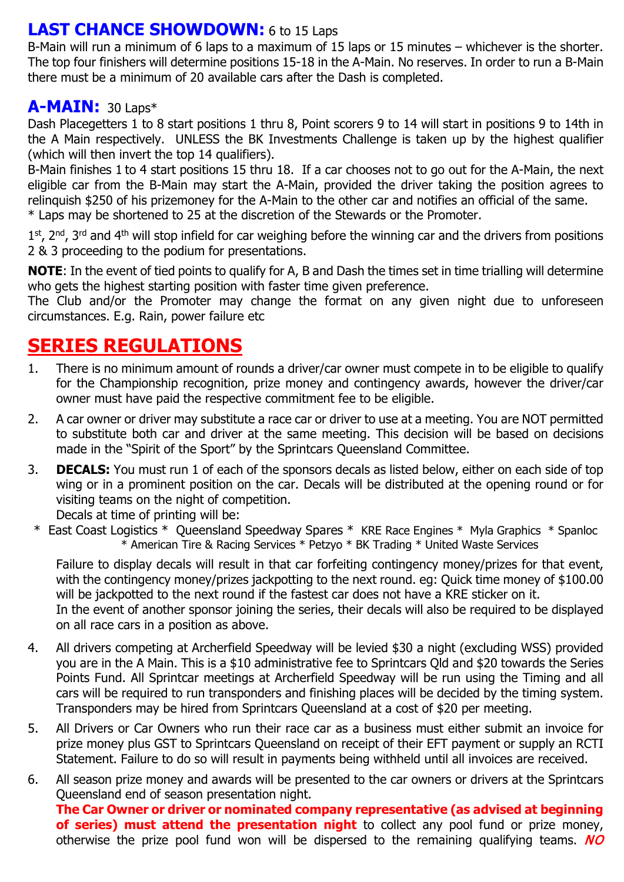## **LAST CHANCE SHOWDOWN:** 6 to 15 Laps

B-Main will run a minimum of 6 laps to a maximum of 15 laps or 15 minutes – whichever is the shorter. The top four finishers will determine positions 15-18 in the A-Main. No reserves. In order to run a B-Main there must be a minimum of 20 available cars after the Dash is completed.

### **A-MAIN:** 30 Laps\*

Dash Placegetters 1 to 8 start positions 1 thru 8, Point scorers 9 to 14 will start in positions 9 to 14th in the A Main respectively. UNLESS the BK Investments Challenge is taken up by the highest qualifier (which will then invert the top 14 qualifiers).

B-Main finishes 1 to 4 start positions 15 thru 18. If a car chooses not to go out for the A-Main, the next eligible car from the B-Main may start the A-Main, provided the driver taking the position agrees to relinquish \$250 of his prizemoney for the A-Main to the other car and notifies an official of the same. \* Laps may be shortened to 25 at the discretion of the Stewards or the Promoter.

1st, 2<sup>nd</sup>, 3<sup>rd</sup> and 4<sup>th</sup> will stop infield for car weighing before the winning car and the drivers from positions 2 & 3 proceeding to the podium for presentations.

**NOTE**: In the event of tied points to qualify for A, B and Dash the times set in time trialling will determine who gets the highest starting position with faster time given preference.

The Club and/or the Promoter may change the format on any given night due to unforeseen circumstances. E.g. Rain, power failure etc

## **SERIES REGULATIONS**

- 1. There is no minimum amount of rounds a driver/car owner must compete in to be eligible to qualify for the Championship recognition, prize money and contingency awards, however the driver/car owner must have paid the respective commitment fee to be eligible.
- 2. A car owner or driver may substitute a race car or driver to use at a meeting. You are NOT permitted to substitute both car and driver at the same meeting. This decision will be based on decisions made in the "Spirit of the Sport" by the Sprintcars Queensland Committee.
- 3. **DECALS:** You must run 1 of each of the sponsors decals as listed below, either on each side of top wing or in a prominent position on the car. Decals will be distributed at the opening round or for visiting teams on the night of competition.

Decals at time of printing will be: \* East Coast Logistics \* Queensland Speedway Spares \* KRE Race Engines \* Myla Graphics \* Spanloc \* American Tire & Racing Services \* Petzyo \* BK Trading \* United Waste Services

Failure to display decals will result in that car forfeiting contingency money/prizes for that event, with the contingency money/prizes jackpotting to the next round. eg: Quick time money of \$100.00 will be jackpotted to the next round if the fastest car does not have a KRE sticker on it. In the event of another sponsor joining the series, their decals will also be required to be displayed on all race cars in a position as above.

- 4. All drivers competing at Archerfield Speedway will be levied \$30 a night (excluding WSS) provided you are in the A Main. This is a \$10 administrative fee to Sprintcars Qld and \$20 towards the Series Points Fund. All Sprintcar meetings at Archerfield Speedway will be run using the Timing and all cars will be required to run transponders and finishing places will be decided by the timing system. Transponders may be hired from Sprintcars Queensland at a cost of \$20 per meeting.
- 5. All Drivers or Car Owners who run their race car as a business must either submit an invoice for prize money plus GST to Sprintcars Queensland on receipt of their EFT payment or supply an RCTI Statement. Failure to do so will result in payments being withheld until all invoices are received.
- 6. All season prize money and awards will be presented to the car owners or drivers at the Sprintcars Queensland end of season presentation night.

**The Car Owner or driver or nominated company representative (as advised at beginning of series) must attend the presentation night** to collect any pool fund or prize money, otherwise the prize pool fund won will be dispersed to the remaining qualifying teams.  $NO$